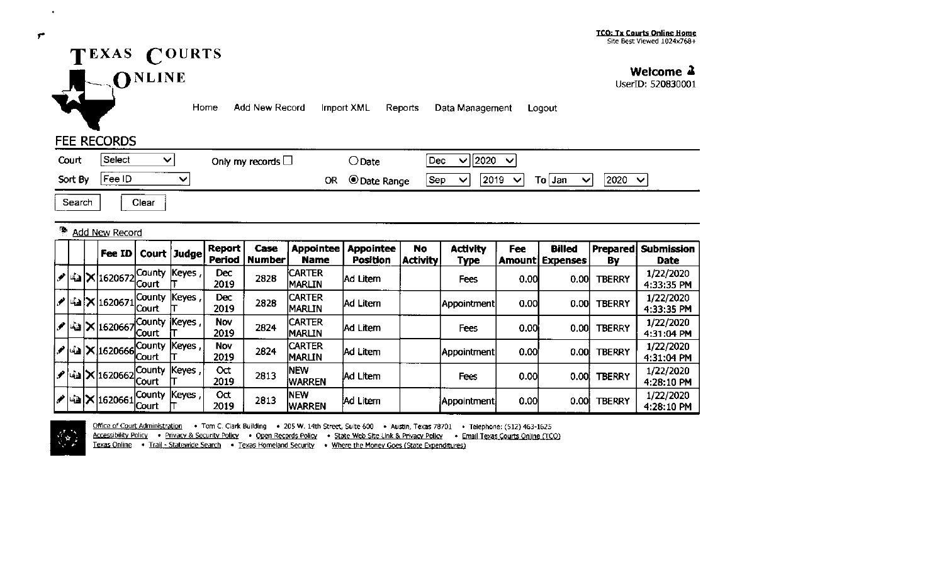## TEXAS COURTS **ONLINE**

**Welcome .l** 

UserID: 520830001

,.

 $\rightarrow$ 

Home Add New Record Import XML Reports Data Management Logout

## FEE RECORDS

| _______<br>Select<br>Court<br>-- | Only<br>$\cdot$ my records $\Box$ | Date \                       | 2020<br>Dec<br>$\cdot$                                                                                     |
|----------------------------------|-----------------------------------|------------------------------|------------------------------------------------------------------------------------------------------------|
| Fee ID<br>Sort By                | <b>OR</b>                         | <sup>)</sup> Date Range<br>v | 2020<br>2019<br>Sep<br>$\overline{\phantom{a}}$<br>$\checkmark$<br>$\sim$<br>T٥۱.<br>  Jan<br>------------ |

Search | Clear

| г, |  | <b>Add New Record</b>                            |                               |             |                    |                       |                                 |                                     |                       |                         |      |                                         |                |                                  |
|----|--|--------------------------------------------------|-------------------------------|-------------|--------------------|-----------------------|---------------------------------|-------------------------------------|-----------------------|-------------------------|------|-----------------------------------------|----------------|----------------------------------|
|    |  | $ $ Fee ID $ $                                   |                               | Court Judge | Report<br>Period   | Case<br><b>Number</b> | <b>Appointee</b><br>Name        | <b>Appointee</b><br><b>Position</b> | No<br><b>Activity</b> | <b>Activity</b><br>Type | Fee  | <b>Billed</b><br><b>Amount Expenses</b> | Prepared<br>Bv | <b>Submission</b><br><b>Date</b> |
|    |  | ./   -≦a   X   1620672                           | County Keyes<br> Court        |             | Dec<br>2019        | 2828                  | <b>ICARTER</b><br><b>MARLIN</b> | Ad Litem                            |                       | Fees                    | 0.00 | 0.00                                    | <b>TBERRY</b>  | 1/22/2020<br>4:33:35 PM          |
|    |  | $ \mathcal{S} $ -ía $ \mathsf{X} $ 1620671 $ $   | County  Keyes<br><b>Court</b> |             | Dec<br>2019        | 2828                  | <b>CARTER</b><br><b>MARLIN</b>  | Ad Litem                            |                       | Appointment             | 0.00 | 0.001                                   | <b>TBERRY</b>  | 1/22/2020<br>4:33:35 PM          |
|    |  | ા∕  હે∃ X  1620667                               | County  Keyes  <br>Court      |             | Nov<br>2019        | 2824                  | <b>CARTER</b><br><b>MARLIN</b>  | Ad Litem                            |                       | Fees                    | 0.00 | 0.001                                   | <b>TBERRY</b>  | 1/22/2020<br>4:31:04 PM          |
|    |  | $ \mathcal{S} $ 42 $ \mathbf{X} $ 1620666 County | Court                         | Keyes       | <b>Nov</b><br>2019 | 2824                  | <b>CARTER</b><br><b>IMARLIN</b> | Ad Litem                            |                       | Appointment             | 0.00 | 0.00                                    | <b>TBERRY</b>  | 1/22/2020<br>4:31:04 PM          |
|    |  | ∥alX 1620662                                     | County  Keyes  <br> Court     |             | Oct<br>2019        | 2813                  | <b>NEW</b><br><b>WARREN</b>     | <b>JAd Litem</b>                    |                       | Fees                    | 0.00 | 0.00                                    | <b>TBERRY</b>  | 1/22/2020<br>4:28:10 PM          |
|    |  | ∥ -`a X 1620661                                  | County <br> Court             | Keyes       | Oct<br>2019        | 2813                  | <b>INEW</b><br><b>WARREN</b>    | Ad Litem                            |                       | Appointment             | 0.00 | 0.001                                   | <b>TBERRY</b>  | 1/22/2020<br>4:28:10 PM          |



Office of Court Administration • Tom C. Clark Building • 205 W. 14th Street, Suite 600 • Austin, Texas 78701 • Telephone: (512) 463-1625 Accessibility Policy • Privacy & Security Policy • Open Records Policy • State Web Site Link & Privacy Policy • Email Texas Courts Online (TCO)

Texas Online • Trail - Statewide Search • Texas Homeland Security • Where the Money Goes (State Expenditures)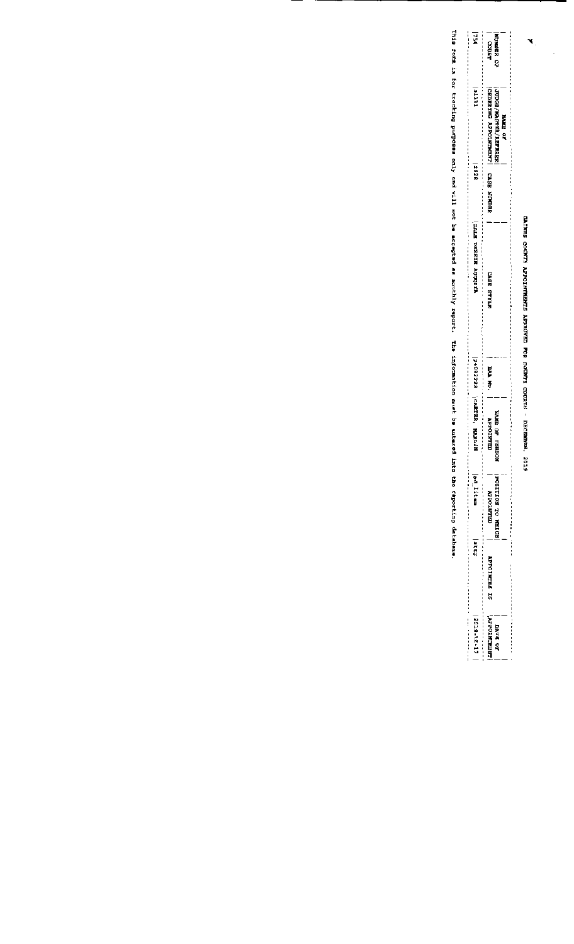GAINES COUNTY AFFOINTMENTS APFROVED POR COUNTY COURTS - DECEMBER, 2019

 $\blacksquare$ 

 $\cdot$ 

| <b>HEL</b>                                                                                                         |                                                                                                                                              |                                                                                                                                                                          |
|--------------------------------------------------------------------------------------------------------------------|----------------------------------------------------------------------------------------------------------------------------------------------|--------------------------------------------------------------------------------------------------------------------------------------------------------------------------|
|                                                                                                                    | <b>WORDER OF</b><br>Lanco                                                                                                                    |                                                                                                                                                                          |
|                                                                                                                    |                                                                                                                                              |                                                                                                                                                                          |
| <b>1231</b>                                                                                                        |                                                                                                                                              |                                                                                                                                                                          |
|                                                                                                                    | <b>HAME CF</b>                                                                                                                               |                                                                                                                                                                          |
|                                                                                                                    | <b>JUDGE/NASTRR/REFREE</b>                                                                                                                   |                                                                                                                                                                          |
| <b>2628</b>                                                                                                        | <b>CASE STRIC APPOINTMENT CASE SUMBRE</b>                                                                                                    |                                                                                                                                                                          |
|                                                                                                                    |                                                                                                                                              |                                                                                                                                                                          |
|                                                                                                                    |                                                                                                                                              |                                                                                                                                                                          |
| <b>ATSUCH AUCTER</b>                                                                                               |                                                                                                                                              |                                                                                                                                                                          |
|                                                                                                                    |                                                                                                                                              |                                                                                                                                                                          |
|                                                                                                                    | <b>ZTILLS BSYD</b>                                                                                                                           |                                                                                                                                                                          |
|                                                                                                                    |                                                                                                                                              |                                                                                                                                                                          |
|                                                                                                                    |                                                                                                                                              |                                                                                                                                                                          |
|                                                                                                                    |                                                                                                                                              |                                                                                                                                                                          |
|                                                                                                                    | <b>PAN RUG</b>                                                                                                                               |                                                                                                                                                                          |
| 240922228  CARTER, NARLIN                                                                                          |                                                                                                                                              |                                                                                                                                                                          |
|                                                                                                                    | <b>KOSBEE AD ZEREK</b><br><b>TROSTATION</b>                                                                                                  |                                                                                                                                                                          |
|                                                                                                                    |                                                                                                                                              |                                                                                                                                                                          |
|                                                                                                                    |                                                                                                                                              |                                                                                                                                                                          |
| ed Item                                                                                                            | EQSITION OF ROLLISON<br><b>MPROTECTED</b>                                                                                                    |                                                                                                                                                                          |
|                                                                                                                    |                                                                                                                                              |                                                                                                                                                                          |
| <b>Mitts</b>                                                                                                       |                                                                                                                                              |                                                                                                                                                                          |
|                                                                                                                    |                                                                                                                                              |                                                                                                                                                                          |
|                                                                                                                    | <b>APPOINTEE IS</b>                                                                                                                          |                                                                                                                                                                          |
|                                                                                                                    |                                                                                                                                              |                                                                                                                                                                          |
| ,我来说我的我们的时候,我们的过去分词被打开的过去式和过去分词的过去式和过去分词形式,我们的过去分词对过去分词对过去分词对过去分词形式,我们的过去分词对过去分词形式,我们的过去分词对过去分词形式,我们<br>2019-12-17 | ,我们我们的事情的人,我们也不会不会不会,我们的过去式和过去分词,我们的过去式和过去分词,我们的过去分词,我们的过去分词,我们的过去分词,我们的过去分词,我们的过去分词,我们的过去分词,我们的过去分词<br><b>LAPOINTMENT</b><br><b>TATE OF</b> | 这时们的这些事实的她的我的我的生活,也不仅仅有自己的过去式和过去分词,我的过去分词,也不会不可能是自己的人的。我们的人都是不能不能,我们的人都是不能不能,我们的人都是不能不能,我们就是不是有多少的人, 人名英格兰人姓氏阿尔特的变体 医皮肤病 医马克氏试验检尿道 医不能 医不能不能 医不能不能 医不能不能不能不能不能不能不能不能不能不能 |
|                                                                                                                    |                                                                                                                                              |                                                                                                                                                                          |

This for tracking purposs only and will not be accepted as monthly report. The information must be entered into teporting database.